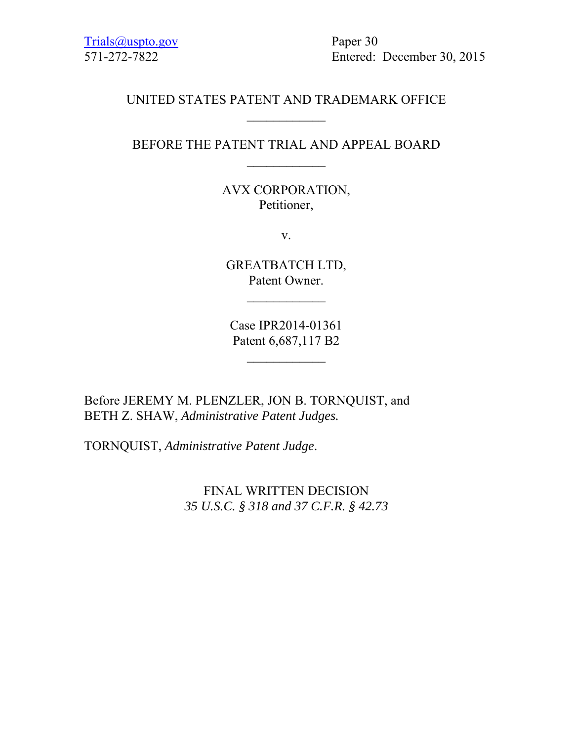Trials@uspto.gov Paper 30

571-272-7822 Entered: December 30, 2015

### UNITED STATES PATENT AND TRADEMARK OFFICE  $\frac{1}{2}$

#### BEFORE THE PATENT TRIAL AND APPEAL BOARD

AVX CORPORATION, Petitioner,

v.

GREATBATCH LTD, Patent Owner.

 $\overline{\phantom{a}}$ 

Case IPR2014-01361 Patent 6,687,117 B2

 $\overline{\phantom{a}}$ 

Before JEREMY M. PLENZLER, JON B. TORNQUIST, and BETH Z. SHAW, *Administrative Patent Judges.*

TORNQUIST, *Administrative Patent Judge*.

FINAL WRITTEN DECISION *35 U.S.C. § 318 and 37 C.F.R. § 42.73*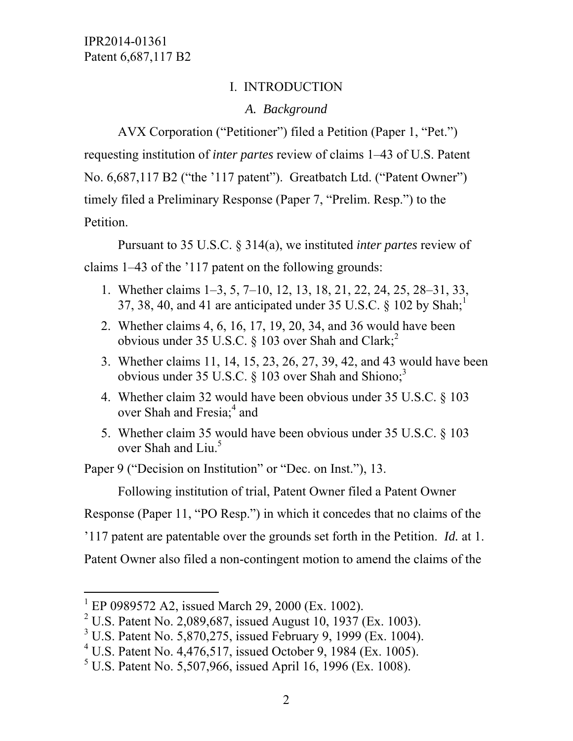# I. INTRODUCTION

# *A. Background*

 AVX Corporation ("Petitioner") filed a Petition (Paper 1, "Pet.") requesting institution of *inter partes* review of claims 1–43 of U.S. Patent No. 6,687,117 B2 ("the '117 patent"). Greatbatch Ltd. ("Patent Owner") timely filed a Preliminary Response (Paper 7, "Prelim. Resp.") to the Petition.

 Pursuant to 35 U.S.C. § 314(a), we instituted *inter partes* review of claims 1–43 of the '117 patent on the following grounds:

- 1. Whether claims 1–3, 5, 7–10, 12, 13, 18, 21, 22, 24, 25, 28–31, 33, 37, 38, 40, and 41 are anticipated under 35 U.S.C.  $\&$  102 by Shah;<sup>1</sup>
- 2. Whether claims 4, 6, 16, 17, 19, 20, 34, and 36 would have been obvious under 35 U.S.C.  $\S$  103 over Shah and Clark;<sup>2</sup>
- 3. Whether claims 11, 14, 15, 23, 26, 27, 39, 42, and 43 would have been obvious under 35 U.S.C.  $\S$  103 over Shah and Shiono;<sup>3</sup>
- 4. Whether claim 32 would have been obvious under 35 U.S.C. § 103 over Shah and Fresia;<sup>4</sup> and
- 5. Whether claim 35 would have been obvious under 35 U.S.C. § 103 over Shah and Liu.<sup>5</sup>

Paper 9 ("Decision on Institution" or "Dec. on Inst."), 13.

Following institution of trial, Patent Owner filed a Patent Owner

Response (Paper 11, "PO Resp.") in which it concedes that no claims of the

'117 patent are patentable over the grounds set forth in the Petition. *Id.* at 1.

Patent Owner also filed a non-contingent motion to amend the claims of the

l

<sup>&</sup>lt;sup>1</sup> EP 0989572 A2, issued March 29, 2000 (Ex. 1002).

<sup>&</sup>lt;sup>2</sup> U.S. Patent No. 2,089,687, issued August 10, 1937 (Ex. 1003).

<sup>&</sup>lt;sup>3</sup> U.S. Patent No. 5,870,275, issued February 9, 1999 (Ex. 1004).

<sup>4</sup> U.S. Patent No. 4,476,517, issued October 9, 1984 (Ex. 1005).

<sup>&</sup>lt;sup>5</sup> U.S. Patent No. 5,507,966, issued April 16, 1996 (Ex. 1008).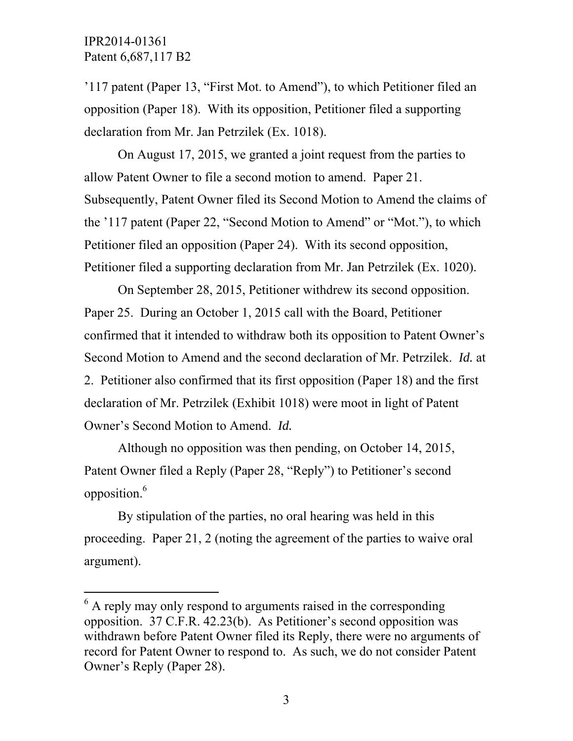$\overline{a}$ 

'117 patent (Paper 13, "First Mot. to Amend"), to which Petitioner filed an opposition (Paper 18). With its opposition, Petitioner filed a supporting declaration from Mr. Jan Petrzilek (Ex. 1018).

 On August 17, 2015, we granted a joint request from the parties to allow Patent Owner to file a second motion to amend. Paper 21. Subsequently, Patent Owner filed its Second Motion to Amend the claims of the '117 patent (Paper 22, "Second Motion to Amend" or "Mot."), to which Petitioner filed an opposition (Paper 24). With its second opposition, Petitioner filed a supporting declaration from Mr. Jan Petrzilek (Ex. 1020).

 On September 28, 2015, Petitioner withdrew its second opposition. Paper 25. During an October 1, 2015 call with the Board, Petitioner confirmed that it intended to withdraw both its opposition to Patent Owner's Second Motion to Amend and the second declaration of Mr. Petrzilek. *Id.* at 2. Petitioner also confirmed that its first opposition (Paper 18) and the first declaration of Mr. Petrzilek (Exhibit 1018) were moot in light of Patent Owner's Second Motion to Amend. *Id.* 

 Although no opposition was then pending, on October 14, 2015, Patent Owner filed a Reply (Paper 28, "Reply") to Petitioner's second opposition.<sup>6</sup>

 By stipulation of the parties, no oral hearing was held in this proceeding. Paper 21, 2 (noting the agreement of the parties to waive oral argument).

 $6$  A reply may only respond to arguments raised in the corresponding opposition. 37 C.F.R. 42.23(b). As Petitioner's second opposition was withdrawn before Patent Owner filed its Reply, there were no arguments of record for Patent Owner to respond to. As such, we do not consider Patent Owner's Reply (Paper 28).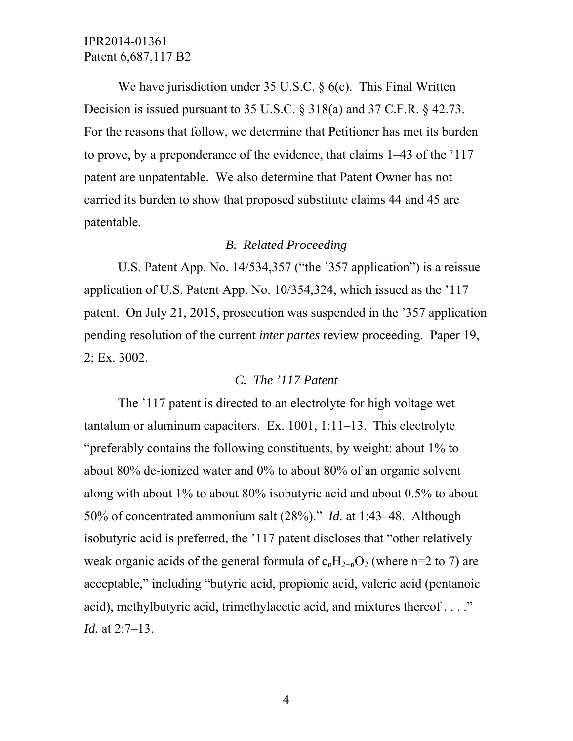We have jurisdiction under 35 U.S.C. § 6(c). This Final Written Decision is issued pursuant to 35 U.S.C. § 318(a) and 37 C.F.R. § 42.73. For the reasons that follow, we determine that Petitioner has met its burden to prove, by a preponderance of the evidence, that claims 1–43 of the '117 patent are unpatentable. We also determine that Patent Owner has not carried its burden to show that proposed substitute claims 44 and 45 are patentable.

#### *B. Related Proceeding*

U.S. Patent App. No. 14/534,357 ("the '357 application") is a reissue application of U.S. Patent App. No. 10/354,324, which issued as the '117 patent. On July 21, 2015, prosecution was suspended in the '357 application pending resolution of the current *inter partes* review proceeding. Paper 19, 2; Ex. 3002.

### *C. The '117 Patent*

 The '117 patent is directed to an electrolyte for high voltage wet tantalum or aluminum capacitors. Ex. 1001, 1:11–13. This electrolyte "preferably contains the following constituents, by weight: about 1% to about 80% de-ionized water and 0% to about 80% of an organic solvent along with about 1% to about 80% isobutyric acid and about 0.5% to about 50% of concentrated ammonium salt (28%)." *Id.* at 1:43–48. Although isobutyric acid is preferred, the '117 patent discloses that "other relatively weak organic acids of the general formula of  $c_nH_{2+n}O_2$  (where n=2 to 7) are acceptable," including "butyric acid, propionic acid, valeric acid (pentanoic acid), methylbutyric acid, trimethylacetic acid, and mixtures thereof . . . ." *Id.* at 2:7–13.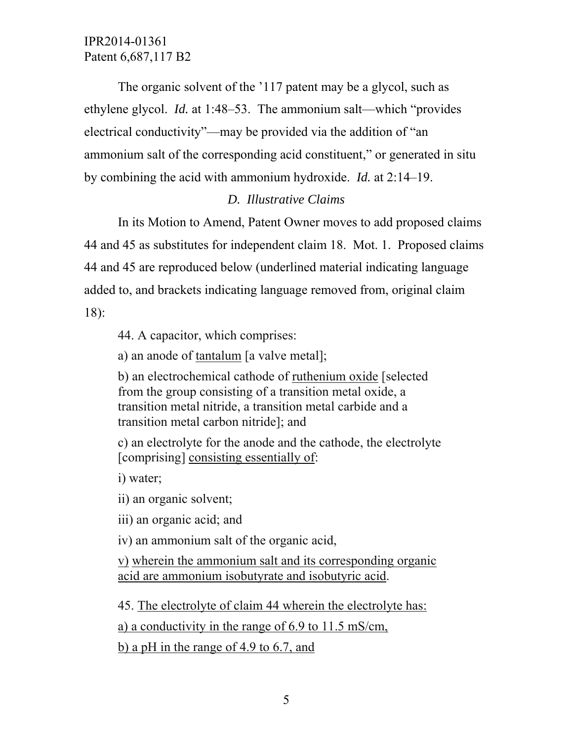The organic solvent of the '117 patent may be a glycol, such as ethylene glycol. *Id.* at 1:48–53. The ammonium salt—which "provides electrical conductivity"—may be provided via the addition of "an ammonium salt of the corresponding acid constituent," or generated in situ by combining the acid with ammonium hydroxide. *Id.* at 2:14–19.

## *D. Illustrative Claims*

In its Motion to Amend, Patent Owner moves to add proposed claims 44 and 45 as substitutes for independent claim 18. Mot. 1. Proposed claims 44 and 45 are reproduced below (underlined material indicating language added to, and brackets indicating language removed from, original claim 18):

44. A capacitor, which comprises:

a) an anode of tantalum [a valve metal];

b) an electrochemical cathode of ruthenium oxide [selected from the group consisting of a transition metal oxide, a transition metal nitride, a transition metal carbide and a transition metal carbon nitride]; and

c) an electrolyte for the anode and the cathode, the electrolyte [comprising] consisting essentially of:

i) water;

ii) an organic solvent;

iii) an organic acid; and

iv) an ammonium salt of the organic acid,

v) wherein the ammonium salt and its corresponding organic acid are ammonium isobutyrate and isobutyric acid.

45. The electrolyte of claim 44 wherein the electrolyte has: a) a conductivity in the range of 6.9 to 11.5 mS/cm, b) a pH in the range of 4.9 to 6.7, and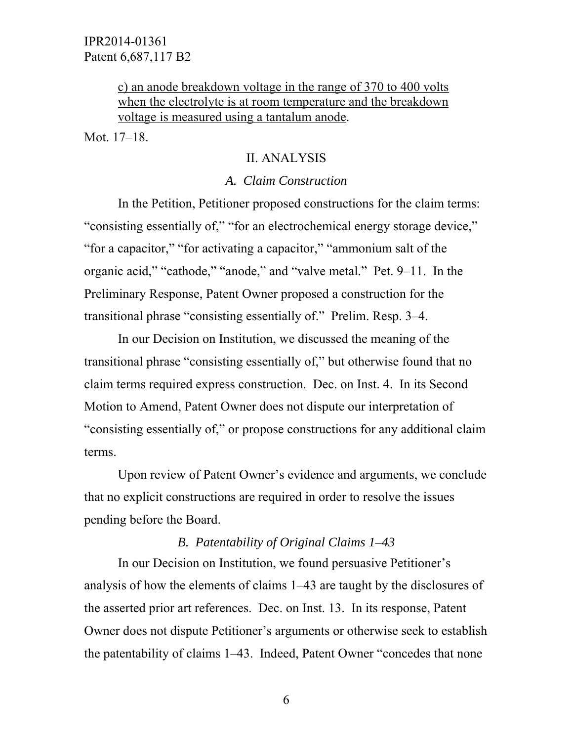c) an anode breakdown voltage in the range of 370 to 400 volts when the electrolyte is at room temperature and the breakdown voltage is measured using a tantalum anode.

Mot. 17–18.

### II. ANALYSIS

### *A. Claim Construction*

In the Petition, Petitioner proposed constructions for the claim terms: "consisting essentially of," "for an electrochemical energy storage device," "for a capacitor," "for activating a capacitor," "ammonium salt of the organic acid," "cathode," "anode," and "valve metal." Pet. 9–11. In the Preliminary Response, Patent Owner proposed a construction for the transitional phrase "consisting essentially of." Prelim. Resp. 3–4.

 In our Decision on Institution, we discussed the meaning of the transitional phrase "consisting essentially of," but otherwise found that no claim terms required express construction. Dec. on Inst. 4. In its Second Motion to Amend, Patent Owner does not dispute our interpretation of "consisting essentially of," or propose constructions for any additional claim terms.

 Upon review of Patent Owner's evidence and arguments, we conclude that no explicit constructions are required in order to resolve the issues pending before the Board.

# *B. Patentability of Original Claims 1–43*

 In our Decision on Institution, we found persuasive Petitioner's analysis of how the elements of claims 1–43 are taught by the disclosures of the asserted prior art references. Dec. on Inst. 13. In its response, Patent Owner does not dispute Petitioner's arguments or otherwise seek to establish the patentability of claims 1–43. Indeed, Patent Owner "concedes that none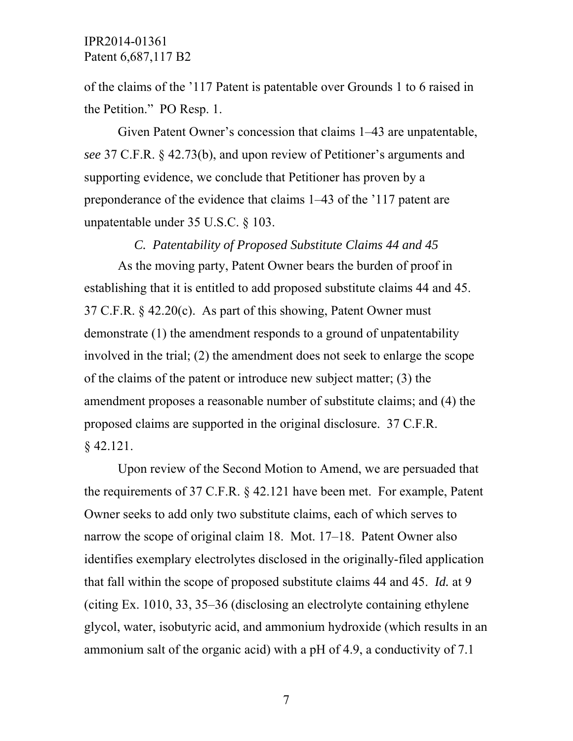of the claims of the '117 Patent is patentable over Grounds 1 to 6 raised in the Petition." PO Resp. 1.

 Given Patent Owner's concession that claims 1–43 are unpatentable, *see* 37 C.F.R. § 42.73(b), and upon review of Petitioner's arguments and supporting evidence, we conclude that Petitioner has proven by a preponderance of the evidence that claims 1–43 of the '117 patent are unpatentable under 35 U.S.C. § 103.

*C. Patentability of Proposed Substitute Claims 44 and 45* 

As the moving party, Patent Owner bears the burden of proof in establishing that it is entitled to add proposed substitute claims 44 and 45.  $37$  C.F.R.  $\&$  42.20(c). As part of this showing, Patent Owner must demonstrate (1) the amendment responds to a ground of unpatentability involved in the trial; (2) the amendment does not seek to enlarge the scope of the claims of the patent or introduce new subject matter; (3) the amendment proposes a reasonable number of substitute claims; and (4) the proposed claims are supported in the original disclosure. 37 C.F.R. § 42.121.

 Upon review of the Second Motion to Amend, we are persuaded that the requirements of 37 C.F.R. § 42.121 have been met. For example, Patent Owner seeks to add only two substitute claims, each of which serves to narrow the scope of original claim 18. Mot. 17–18. Patent Owner also identifies exemplary electrolytes disclosed in the originally-filed application that fall within the scope of proposed substitute claims 44 and 45. *Id.* at 9 (citing Ex. 1010, 33, 35–36 (disclosing an electrolyte containing ethylene glycol, water, isobutyric acid, and ammonium hydroxide (which results in an ammonium salt of the organic acid) with a pH of 4.9, a conductivity of 7.1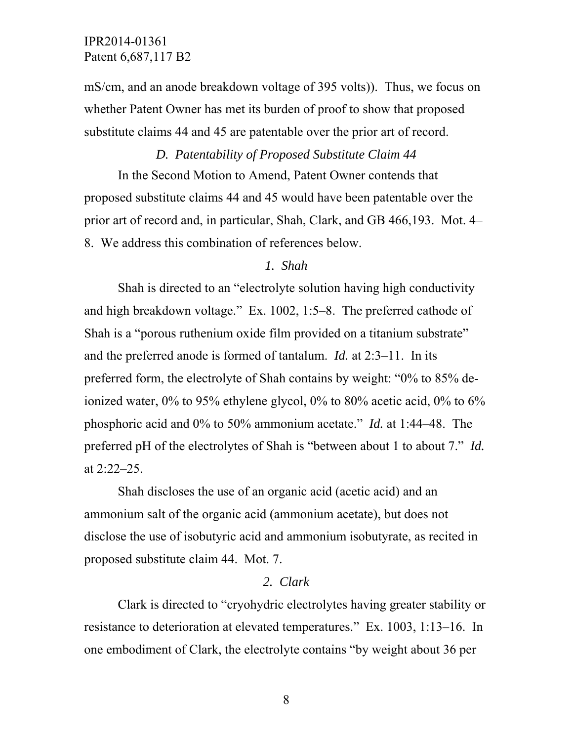mS/cm, and an anode breakdown voltage of 395 volts)). Thus, we focus on whether Patent Owner has met its burden of proof to show that proposed substitute claims 44 and 45 are patentable over the prior art of record.

# *D. Patentability of Proposed Substitute Claim 44*

 In the Second Motion to Amend, Patent Owner contends that proposed substitute claims 44 and 45 would have been patentable over the prior art of record and, in particular, Shah, Clark, and GB 466,193. Mot. 4– 8. We address this combination of references below.

#### *1. Shah*

Shah is directed to an "electrolyte solution having high conductivity and high breakdown voltage." Ex. 1002, 1:5–8. The preferred cathode of Shah is a "porous ruthenium oxide film provided on a titanium substrate" and the preferred anode is formed of tantalum. *Id.* at 2:3–11. In its preferred form, the electrolyte of Shah contains by weight: "0% to 85% deionized water, 0% to 95% ethylene glycol, 0% to 80% acetic acid, 0% to 6% phosphoric acid and 0% to 50% ammonium acetate." *Id.* at 1:44–48. The preferred pH of the electrolytes of Shah is "between about 1 to about 7." *Id.*  at 2:22–25.

 Shah discloses the use of an organic acid (acetic acid) and an ammonium salt of the organic acid (ammonium acetate), but does not disclose the use of isobutyric acid and ammonium isobutyrate, as recited in proposed substitute claim 44. Mot. 7.

#### *2. Clark*

Clark is directed to "cryohydric electrolytes having greater stability or resistance to deterioration at elevated temperatures." Ex. 1003, 1:13–16. In one embodiment of Clark, the electrolyte contains "by weight about 36 per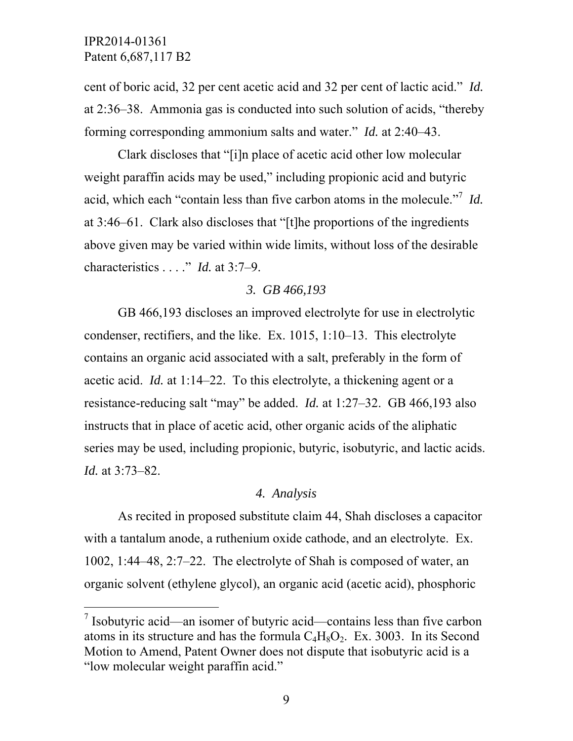$\overline{a}$ 

cent of boric acid, 32 per cent acetic acid and 32 per cent of lactic acid." *Id.*  at 2:36–38. Ammonia gas is conducted into such solution of acids, "thereby forming corresponding ammonium salts and water." *Id.* at 2:40–43.

 Clark discloses that "[i]n place of acetic acid other low molecular weight paraffin acids may be used," including propionic acid and butyric acid, which each "contain less than five carbon atoms in the molecule."<sup>7</sup> *Id.*  at 3:46–61. Clark also discloses that "[t]he proportions of the ingredients above given may be varied within wide limits, without loss of the desirable characteristics . . . ." *Id.* at 3:7–9.

### *3. GB 466,193*

 GB 466,193 discloses an improved electrolyte for use in electrolytic condenser, rectifiers, and the like. Ex. 1015, 1:10–13. This electrolyte contains an organic acid associated with a salt, preferably in the form of acetic acid. *Id.* at 1:14–22. To this electrolyte, a thickening agent or a resistance-reducing salt "may" be added. *Id.* at 1:27–32. GB 466,193 also instructs that in place of acetic acid, other organic acids of the aliphatic series may be used, including propionic, butyric, isobutyric, and lactic acids. *Id.* at 3:73–82.

### *4. Analysis*

As recited in proposed substitute claim 44, Shah discloses a capacitor with a tantalum anode, a ruthenium oxide cathode, and an electrolyte. Ex. 1002, 1:44–48, 2:7–22. The electrolyte of Shah is composed of water, an organic solvent (ethylene glycol), an organic acid (acetic acid), phosphoric

<sup>&</sup>lt;sup>7</sup> Isobutyric acid—an isomer of butyric acid—contains less than five carbon atoms in its structure and has the formula  $C_4H_8O_2$ . Ex. 3003. In its Second Motion to Amend, Patent Owner does not dispute that isobutyric acid is a "low molecular weight paraffin acid."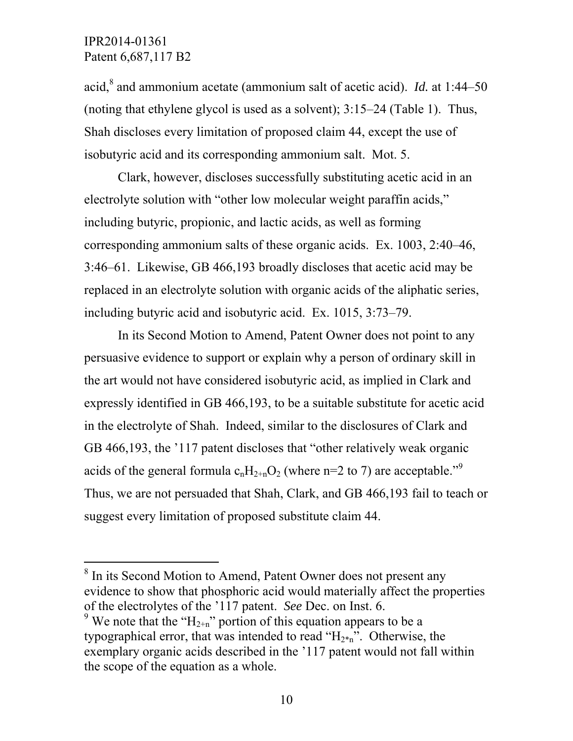$\overline{a}$ 

acid,<sup>8</sup> and ammonium acetate (ammonium salt of acetic acid). *Id.* at 1:44–50 (noting that ethylene glycol is used as a solvent); 3:15–24 (Table 1). Thus, Shah discloses every limitation of proposed claim 44, except the use of isobutyric acid and its corresponding ammonium salt. Mot. 5.

 Clark, however, discloses successfully substituting acetic acid in an electrolyte solution with "other low molecular weight paraffin acids," including butyric, propionic, and lactic acids, as well as forming corresponding ammonium salts of these organic acids. Ex. 1003, 2:40–46, 3:46–61. Likewise, GB 466,193 broadly discloses that acetic acid may be replaced in an electrolyte solution with organic acids of the aliphatic series, including butyric acid and isobutyric acid. Ex. 1015, 3:73–79.

 In its Second Motion to Amend, Patent Owner does not point to any persuasive evidence to support or explain why a person of ordinary skill in the art would not have considered isobutyric acid, as implied in Clark and expressly identified in GB 466,193, to be a suitable substitute for acetic acid in the electrolyte of Shah. Indeed, similar to the disclosures of Clark and GB 466,193, the '117 patent discloses that "other relatively weak organic acids of the general formula  $c_nH_{2+n}O_2$  (where n=2 to 7) are acceptable.<sup>"9</sup> Thus, we are not persuaded that Shah, Clark, and GB 466,193 fail to teach or suggest every limitation of proposed substitute claim 44.

<sup>8</sup> In its Second Motion to Amend, Patent Owner does not present any evidence to show that phosphoric acid would materially affect the properties of the electrolytes of the '117 patent. *See* Dec. on Inst. 6. <sup>9</sup> We note that the " $H_{2+n}$ " portion of this equation appears to be a

typographical error, that was intended to read " $H_{2^n}$ ". Otherwise, the exemplary organic acids described in the '117 patent would not fall within the scope of the equation as a whole.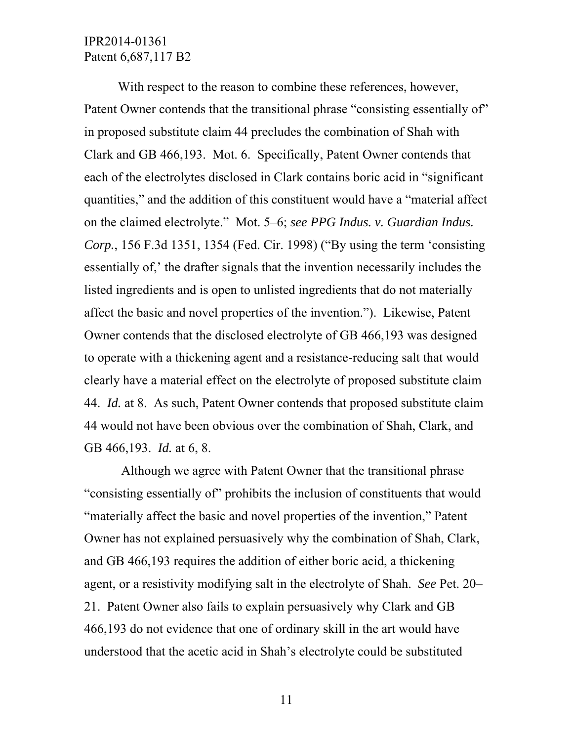With respect to the reason to combine these references, however, Patent Owner contends that the transitional phrase "consisting essentially of" in proposed substitute claim 44 precludes the combination of Shah with Clark and GB 466,193. Mot. 6. Specifically, Patent Owner contends that each of the electrolytes disclosed in Clark contains boric acid in "significant quantities," and the addition of this constituent would have a "material affect on the claimed electrolyte." Mot. 5–6; *see PPG Indus. v. Guardian Indus. Corp.*, 156 F.3d 1351, 1354 (Fed. Cir. 1998) ("By using the term 'consisting essentially of,' the drafter signals that the invention necessarily includes the listed ingredients and is open to unlisted ingredients that do not materially affect the basic and novel properties of the invention."). Likewise, Patent Owner contends that the disclosed electrolyte of GB 466,193 was designed to operate with a thickening agent and a resistance-reducing salt that would clearly have a material effect on the electrolyte of proposed substitute claim 44. *Id.* at 8. As such, Patent Owner contends that proposed substitute claim 44 would not have been obvious over the combination of Shah, Clark, and GB 466,193. *Id.* at 6, 8.

 Although we agree with Patent Owner that the transitional phrase "consisting essentially of" prohibits the inclusion of constituents that would "materially affect the basic and novel properties of the invention," Patent Owner has not explained persuasively why the combination of Shah, Clark, and GB 466,193 requires the addition of either boric acid, a thickening agent, or a resistivity modifying salt in the electrolyte of Shah. *See* Pet. 20– 21. Patent Owner also fails to explain persuasively why Clark and GB 466,193 do not evidence that one of ordinary skill in the art would have understood that the acetic acid in Shah's electrolyte could be substituted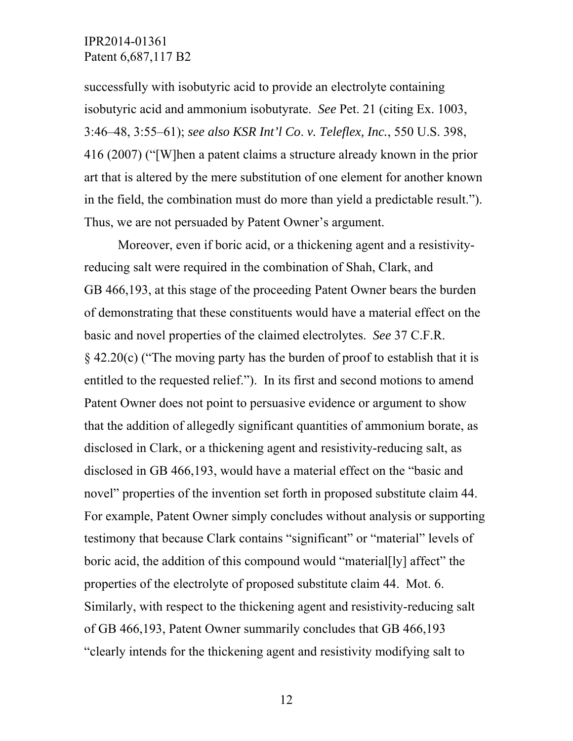successfully with isobutyric acid to provide an electrolyte containing isobutyric acid and ammonium isobutyrate. *See* Pet. 21 (citing Ex. 1003, 3:46–48, 3:55–61); *see also KSR Int'l Co*. *v. Teleflex, Inc.*, 550 U.S. 398, 416 (2007) ("[W]hen a patent claims a structure already known in the prior art that is altered by the mere substitution of one element for another known in the field, the combination must do more than yield a predictable result."). Thus, we are not persuaded by Patent Owner's argument.

 Moreover, even if boric acid, or a thickening agent and a resistivityreducing salt were required in the combination of Shah, Clark, and GB 466,193, at this stage of the proceeding Patent Owner bears the burden of demonstrating that these constituents would have a material effect on the basic and novel properties of the claimed electrolytes. *See* 37 C.F.R. § 42.20(c) ("The moving party has the burden of proof to establish that it is entitled to the requested relief."). In its first and second motions to amend Patent Owner does not point to persuasive evidence or argument to show that the addition of allegedly significant quantities of ammonium borate, as disclosed in Clark, or a thickening agent and resistivity-reducing salt, as disclosed in GB 466,193, would have a material effect on the "basic and novel" properties of the invention set forth in proposed substitute claim 44. For example, Patent Owner simply concludes without analysis or supporting testimony that because Clark contains "significant" or "material" levels of boric acid, the addition of this compound would "material[ly] affect" the properties of the electrolyte of proposed substitute claim 44. Mot. 6. Similarly, with respect to the thickening agent and resistivity-reducing salt of GB 466,193, Patent Owner summarily concludes that GB 466,193 "clearly intends for the thickening agent and resistivity modifying salt to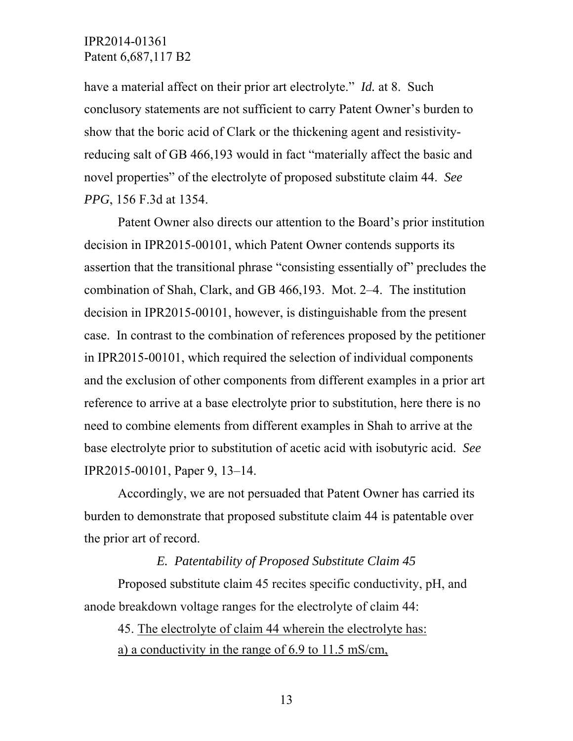have a material affect on their prior art electrolyte." *Id.* at 8. Such conclusory statements are not sufficient to carry Patent Owner's burden to show that the boric acid of Clark or the thickening agent and resistivityreducing salt of GB 466,193 would in fact "materially affect the basic and novel properties" of the electrolyte of proposed substitute claim 44. *See PPG*, 156 F.3d at 1354.

 Patent Owner also directs our attention to the Board's prior institution decision in IPR2015-00101, which Patent Owner contends supports its assertion that the transitional phrase "consisting essentially of" precludes the combination of Shah, Clark, and GB 466,193. Mot. 2–4. The institution decision in IPR2015-00101, however, is distinguishable from the present case. In contrast to the combination of references proposed by the petitioner in IPR2015-00101, which required the selection of individual components and the exclusion of other components from different examples in a prior art reference to arrive at a base electrolyte prior to substitution, here there is no need to combine elements from different examples in Shah to arrive at the base electrolyte prior to substitution of acetic acid with isobutyric acid. *See*  IPR2015-00101, Paper 9, 13–14.

 Accordingly, we are not persuaded that Patent Owner has carried its burden to demonstrate that proposed substitute claim 44 is patentable over the prior art of record.

### *E. Patentability of Proposed Substitute Claim 45*

 Proposed substitute claim 45 recites specific conductivity, pH, and anode breakdown voltage ranges for the electrolyte of claim 44:

45. The electrolyte of claim 44 wherein the electrolyte has: a) a conductivity in the range of 6.9 to 11.5 mS/cm,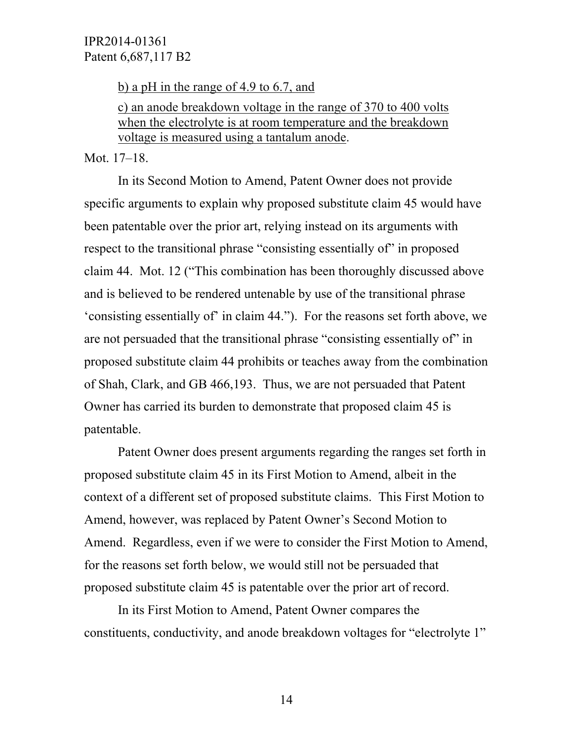b) a pH in the range of 4.9 to 6.7, and

c) an anode breakdown voltage in the range of 370 to 400 volts when the electrolyte is at room temperature and the breakdown voltage is measured using a tantalum anode.

#### Mot. 17–18.

 In its Second Motion to Amend, Patent Owner does not provide specific arguments to explain why proposed substitute claim 45 would have been patentable over the prior art, relying instead on its arguments with respect to the transitional phrase "consisting essentially of" in proposed claim 44. Mot. 12 ("This combination has been thoroughly discussed above and is believed to be rendered untenable by use of the transitional phrase 'consisting essentially of' in claim 44."). For the reasons set forth above, we are not persuaded that the transitional phrase "consisting essentially of" in proposed substitute claim 44 prohibits or teaches away from the combination of Shah, Clark, and GB 466,193. Thus, we are not persuaded that Patent Owner has carried its burden to demonstrate that proposed claim 45 is patentable.

 Patent Owner does present arguments regarding the ranges set forth in proposed substitute claim 45 in its First Motion to Amend, albeit in the context of a different set of proposed substitute claims. This First Motion to Amend, however, was replaced by Patent Owner's Second Motion to Amend. Regardless, even if we were to consider the First Motion to Amend, for the reasons set forth below, we would still not be persuaded that proposed substitute claim 45 is patentable over the prior art of record.

 In its First Motion to Amend, Patent Owner compares the constituents, conductivity, and anode breakdown voltages for "electrolyte 1"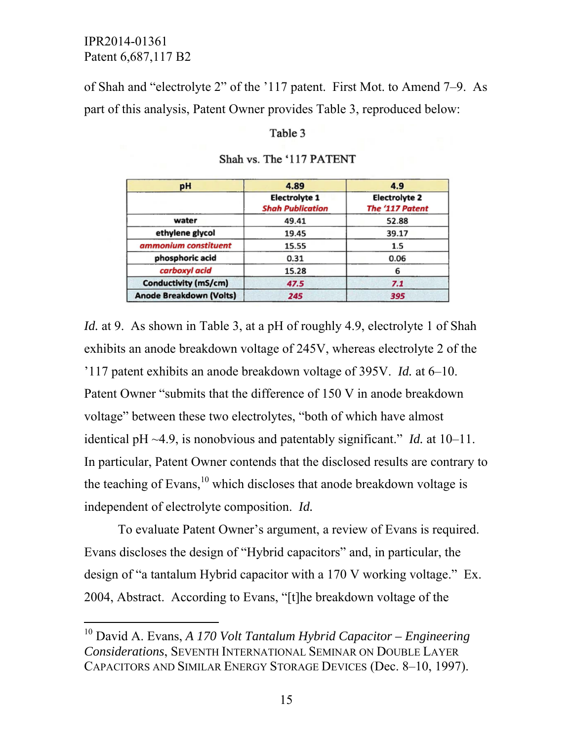-

of Shah and "electrolyte 2" of the '117 patent. First Mot. to Amend 7–9. As part of this analysis, Patent Owner provides Table 3, reproduced below:

#### Table 3

| pН                             | 4.89                                            | 4.9                                     |
|--------------------------------|-------------------------------------------------|-----------------------------------------|
|                                | <b>Electrolyte 1</b><br><b>Shah Publication</b> | <b>Electrolyte 2</b><br>The '117 Patent |
| water                          | 49.41                                           | 52.88                                   |
| ethylene glycol                | 19.45                                           | 39.17                                   |
| ammonium constituent           | 15.55                                           | 1.5                                     |
| phosphoric acid                | 0.31                                            | 0.06                                    |
| carboxyl acid                  | 15.28                                           |                                         |
| <b>Conductivity (mS/cm)</b>    | 47.5                                            | 7.1                                     |
| <b>Anode Breakdown (Volts)</b> | 245                                             | 395                                     |

#### Shah vs. The '117 PATENT

*Id.* at 9. As shown in Table 3, at a pH of roughly 4.9, electrolyte 1 of Shah exhibits an anode breakdown voltage of 245V, whereas electrolyte 2 of the '117 patent exhibits an anode breakdown voltage of 395V. *Id.* at 6–10. Patent Owner "submits that the difference of 150 V in anode breakdown voltage" between these two electrolytes, "both of which have almost identical pH ~4.9, is nonobvious and patentably significant." *Id.* at 10–11. In particular, Patent Owner contends that the disclosed results are contrary to the teaching of Evans,  $^{10}$  which discloses that anode breakdown voltage is independent of electrolyte composition. *Id.*

 To evaluate Patent Owner's argument, a review of Evans is required. Evans discloses the design of "Hybrid capacitors" and, in particular, the design of "a tantalum Hybrid capacitor with a 170 V working voltage." Ex. 2004, Abstract. According to Evans, "[t]he breakdown voltage of the

<sup>10</sup> David A. Evans, *A 170 Volt Tantalum Hybrid Capacitor – Engineering Considerations*, SEVENTH INTERNATIONAL SEMINAR ON DOUBLE LAYER CAPACITORS AND SIMILAR ENERGY STORAGE DEVICES (Dec. 8–10, 1997).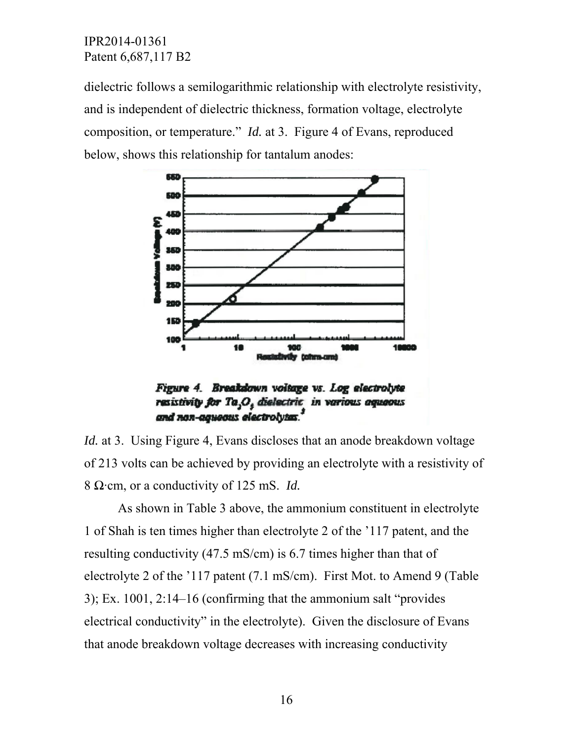dielectric follows a semilogarithmic relationship with electrolyte resistivity, and is independent of dielectric thickness, formation voltage, electrolyte composition, or temperature." *Id.* at 3. Figure 4 of Evans, reproduced below, shows this relationship for tantalum anodes:



Figure 4. Breakdown voitage vs. Log electrolyte resistivity for Ta,O, dielectric in various aquaous and non-aqueous electrolytas."

*Id.* at 3. Using Figure 4, Evans discloses that an anode breakdown voltage of 213 volts can be achieved by providing an electrolyte with a resistivity of 8 Ω·cm, or a conductivity of 125 mS. *Id.* 

 As shown in Table 3 above, the ammonium constituent in electrolyte 1 of Shah is ten times higher than electrolyte 2 of the '117 patent, and the resulting conductivity (47.5 mS/cm) is 6.7 times higher than that of electrolyte 2 of the '117 patent (7.1 mS/cm). First Mot. to Amend 9 (Table 3); Ex. 1001, 2:14–16 (confirming that the ammonium salt "provides electrical conductivity" in the electrolyte). Given the disclosure of Evans that anode breakdown voltage decreases with increasing conductivity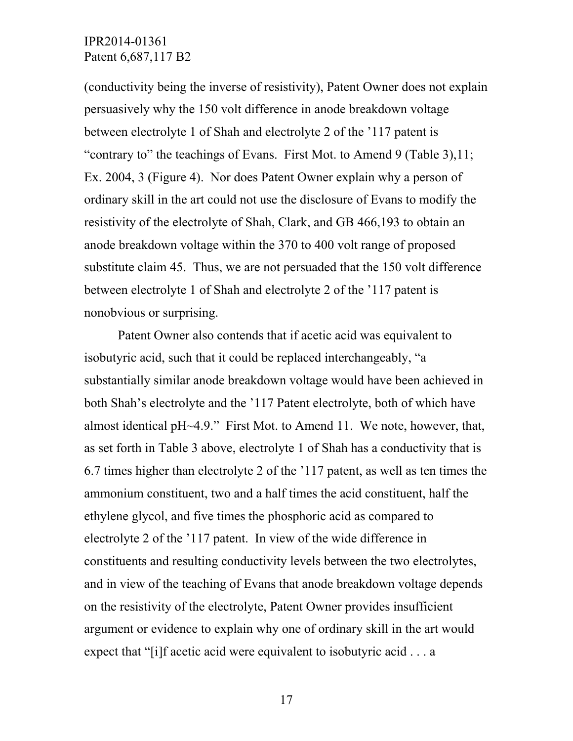(conductivity being the inverse of resistivity), Patent Owner does not explain persuasively why the 150 volt difference in anode breakdown voltage between electrolyte 1 of Shah and electrolyte 2 of the '117 patent is "contrary to" the teachings of Evans. First Mot. to Amend 9 (Table 3),11; Ex. 2004, 3 (Figure 4). Nor does Patent Owner explain why a person of ordinary skill in the art could not use the disclosure of Evans to modify the resistivity of the electrolyte of Shah, Clark, and GB 466,193 to obtain an anode breakdown voltage within the 370 to 400 volt range of proposed substitute claim 45. Thus, we are not persuaded that the 150 volt difference between electrolyte 1 of Shah and electrolyte 2 of the '117 patent is nonobvious or surprising.

 Patent Owner also contends that if acetic acid was equivalent to isobutyric acid, such that it could be replaced interchangeably, "a substantially similar anode breakdown voltage would have been achieved in both Shah's electrolyte and the '117 Patent electrolyte, both of which have almost identical pH~4.9." First Mot. to Amend 11. We note, however, that, as set forth in Table 3 above, electrolyte 1 of Shah has a conductivity that is 6.7 times higher than electrolyte 2 of the '117 patent, as well as ten times the ammonium constituent, two and a half times the acid constituent, half the ethylene glycol, and five times the phosphoric acid as compared to electrolyte 2 of the '117 patent. In view of the wide difference in constituents and resulting conductivity levels between the two electrolytes, and in view of the teaching of Evans that anode breakdown voltage depends on the resistivity of the electrolyte, Patent Owner provides insufficient argument or evidence to explain why one of ordinary skill in the art would expect that "[i]f acetic acid were equivalent to isobutyric acid . . . a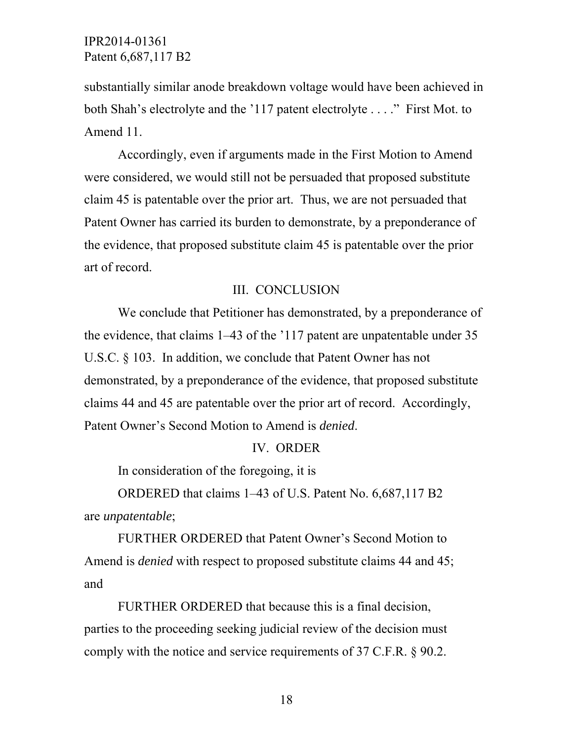substantially similar anode breakdown voltage would have been achieved in both Shah's electrolyte and the '117 patent electrolyte . . . ." First Mot. to Amend 11.

 Accordingly, even if arguments made in the First Motion to Amend were considered, we would still not be persuaded that proposed substitute claim 45 is patentable over the prior art. Thus, we are not persuaded that Patent Owner has carried its burden to demonstrate, by a preponderance of the evidence, that proposed substitute claim 45 is patentable over the prior art of record.

### III. CONCLUSION

 We conclude that Petitioner has demonstrated, by a preponderance of the evidence, that claims 1–43 of the '117 patent are unpatentable under 35 U.S.C. § 103. In addition, we conclude that Patent Owner has not demonstrated, by a preponderance of the evidence, that proposed substitute claims 44 and 45 are patentable over the prior art of record. Accordingly, Patent Owner's Second Motion to Amend is *denied*.

#### IV. ORDER

In consideration of the foregoing, it is

 ORDERED that claims 1–43 of U.S. Patent No. 6,687,117 B2 are *unpatentable*;

 FURTHER ORDERED that Patent Owner's Second Motion to Amend is *denied* with respect to proposed substitute claims 44 and 45; and

 FURTHER ORDERED that because this is a final decision, parties to the proceeding seeking judicial review of the decision must comply with the notice and service requirements of 37 C.F.R. § 90.2.